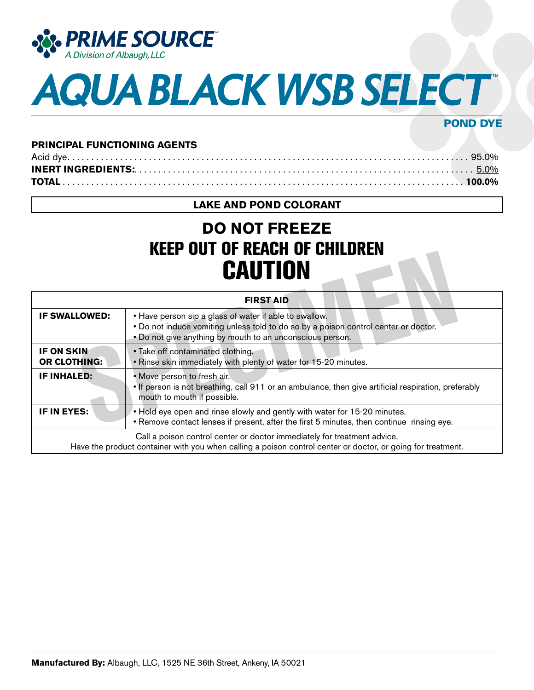

# AQUA BLACK WSB SELECT

## POND DYE

### **PRINCIPAL FUNCTIONING AGENTS**

# **LAKE AND POND COLORANT**

# **DO NOT FREEZE** KEEP OUT OF REACH OF CHILDREN **CAUTION**

| .<br><b>CAUTION</b>                      |                                                                                                                                                                                                            |  |
|------------------------------------------|------------------------------------------------------------------------------------------------------------------------------------------------------------------------------------------------------------|--|
| <b>FIRST AID</b>                         |                                                                                                                                                                                                            |  |
| <b>IF SWALLOWED:</b>                     | • Have person sip a glass of water if able to swallow.<br>. Do not induce vomiting unless told to do so by a poison control center or doctor.<br>. Do not give anything by mouth to an unconscious person. |  |
| <b>IF ON SKIN</b><br><b>OR CLOTHING:</b> | • Take off contaminated clothing.<br>. Rinse skin immediately with plenty of water for 15-20 minutes.                                                                                                      |  |
| <b>IF INHALED:</b>                       | • Move person to fresh air.<br>. If person is not breathing, call 911 or an ambulance, then give artificial respiration, preferably<br>mouth to mouth if possible.                                         |  |
| IF IN EYES:                              | . Hold eye open and rinse slowly and gently with water for 15-20 minutes.<br>• Remove contact lenses if present, after the first 5 minutes, then continue rinsing eye.                                     |  |
|                                          | Call a poison control center or doctor immediately for treatment advice.<br>Have the product container with you when calling a poison control center or doctor, or going for treatment.                    |  |